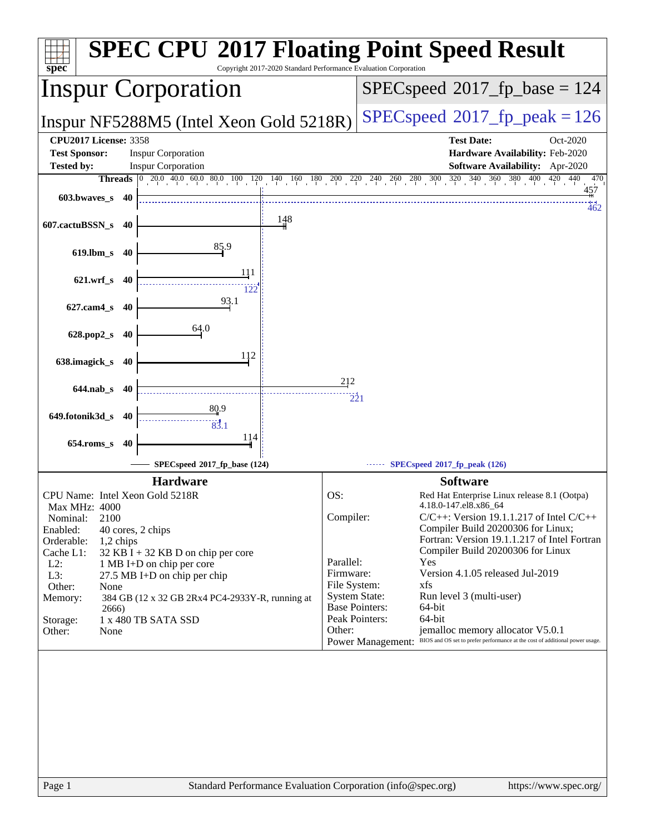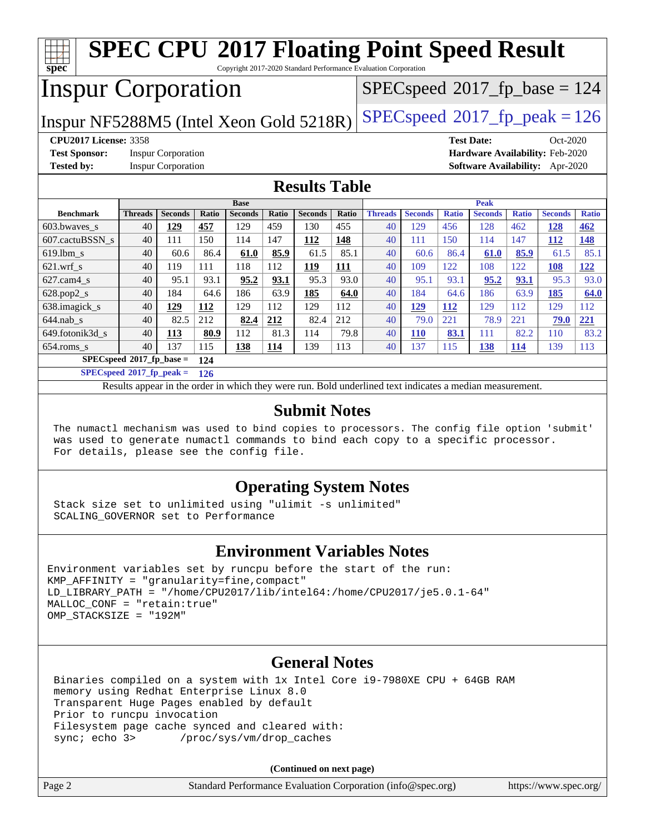| <b>SPEC CPU®2017 Floating Point Speed Result</b><br>spec<br>Copyright 2017-2020 Standard Performance Evaluation Corporation |                      |                           |            |                |              |                                          |              |                      |                       |                     |                   |                     |                                        |              |
|-----------------------------------------------------------------------------------------------------------------------------|----------------------|---------------------------|------------|----------------|--------------|------------------------------------------|--------------|----------------------|-----------------------|---------------------|-------------------|---------------------|----------------------------------------|--------------|
| <b>Inspur Corporation</b>                                                                                                   |                      |                           |            |                |              | $SPEC speed^{\circ}2017\_fp\_base = 124$ |              |                      |                       |                     |                   |                     |                                        |              |
| $SPEC speed^{\circ}2017$ _fp_peak = 126<br>Inspur NF5288M5 (Intel Xeon Gold 5218R)                                          |                      |                           |            |                |              |                                          |              |                      |                       |                     |                   |                     |                                        |              |
| <b>CPU2017 License: 3358</b>                                                                                                |                      |                           |            |                |              |                                          |              |                      |                       |                     | <b>Test Date:</b> |                     | $Oct-2020$                             |              |
| <b>Test Sponsor:</b>                                                                                                        |                      | <b>Inspur Corporation</b> |            |                |              |                                          |              |                      |                       |                     |                   |                     | Hardware Availability: Feb-2020        |              |
| <b>Tested by:</b>                                                                                                           |                      | <b>Inspur Corporation</b> |            |                |              |                                          |              |                      |                       |                     |                   |                     | <b>Software Availability:</b> Apr-2020 |              |
| <b>Results Table</b>                                                                                                        |                      |                           |            |                |              |                                          |              |                      |                       |                     |                   |                     |                                        |              |
|                                                                                                                             |                      |                           |            | <b>Base</b>    |              |                                          |              |                      |                       |                     | <b>Peak</b>       |                     |                                        |              |
| <b>Benchmark</b>                                                                                                            | <b>Threads</b><br>40 | <b>Seconds</b>            | Ratio      | <b>Seconds</b> | Ratio<br>459 | <b>Seconds</b>                           | Ratio<br>455 | <b>Threads</b><br>40 | <b>Seconds</b><br>129 | <b>Ratio</b><br>456 | <b>Seconds</b>    | <b>Ratio</b><br>462 | <b>Seconds</b>                         | <b>Ratio</b> |
| 603.bwaves s                                                                                                                | 40                   | 129<br>111                | 457<br>150 | 129<br>114     | 147          | 130<br>112                               | 148          | 40                   | 111                   | 150                 | 128<br>114        | 147                 | 128                                    | 462<br>148   |
| 607.cactuBSSN s                                                                                                             |                      | 60.6                      | 86.4       |                |              | 61.5                                     | 85.1         | 40                   | 60.6                  |                     |                   |                     | 112                                    | 85.1         |
| 619.lbm_s                                                                                                                   | 40                   |                           |            | 61.0           | 85.9         |                                          |              |                      |                       | 86.4                | 61.0              | 85.9                | 61.5                                   |              |
| $621$ .wrf s                                                                                                                | 40                   | 119                       | 111        | 118            | 112          | 119                                      | 111          | 40                   | 109                   | 122                 | 108               | 122                 | 108                                    | 122          |
| 627.cam4_s                                                                                                                  | 40                   | 95.1                      | 93.1       | 95.2           | 93.1         | 95.3                                     | 93.0         | 40                   | 95.1                  | 93.1                | 95.2              | 93.1                | 95.3                                   | 93.0         |
| 628.pop2_s                                                                                                                  | 40                   | 184                       | 64.6       | 186            | 63.9         | 185                                      | 64.0         | 40                   | 184                   | 64.6                | 186               | 63.9                | 185                                    | 64.0         |
| 638.imagick_s                                                                                                               | 40                   | 129                       | 112        | 129            | 112          | 129                                      | 112          | 40                   | <b>129</b>            | 112                 | 129               | 112                 | 129                                    | 112          |
| $644$ .nab s                                                                                                                | 40                   | 82.5                      | 212        | 82.4           | 212          | 82.4                                     | 212          | 40                   | 79.0                  | 221                 | 78.9              | 221                 | 79.0                                   | 221          |
| 649.fotonik3d_s                                                                                                             | 40                   | 113                       | 80.9       | 112            | 81.3         | 114                                      | 79.8         | 40                   | <b>110</b>            | 83.1                | 111               | 82.2                | 110                                    | 83.2         |
| 654.roms_s                                                                                                                  | 40                   | 137                       | 115        | 138            | 114          | 139                                      | 113          | 40                   | 137                   | 115                 | 138               | 114                 | 139                                    | 113          |
| $SPECspeed*2017_fp\_base =$<br>124                                                                                          |                      |                           |            |                |              |                                          |              |                      |                       |                     |                   |                     |                                        |              |
| $SPEC speed^{\circ}2017\_fp\_peak =$<br>126                                                                                 |                      |                           |            |                |              |                                          |              |                      |                       |                     |                   |                     |                                        |              |
| Results appear in the order in which they were run. Bold underlined text indicates a median measurement.                    |                      |                           |            |                |              |                                          |              |                      |                       |                     |                   |                     |                                        |              |
| <b>Submit Notes</b>                                                                                                         |                      |                           |            |                |              |                                          |              |                      |                       |                     |                   |                     |                                        |              |

 The numactl mechanism was used to bind copies to processors. The config file option 'submit' was used to generate numactl commands to bind each copy to a specific processor. For details, please see the config file.

### **[Operating System Notes](http://www.spec.org/auto/cpu2017/Docs/result-fields.html#OperatingSystemNotes)**

 Stack size set to unlimited using "ulimit -s unlimited" SCALING\_GOVERNOR set to Performance

### **[Environment Variables Notes](http://www.spec.org/auto/cpu2017/Docs/result-fields.html#EnvironmentVariablesNotes)**

```
Environment variables set by runcpu before the start of the run:
KMP_AFFINITY = "granularity=fine,compact"
LD_LIBRARY_PATH = "/home/CPU2017/lib/intel64:/home/CPU2017/je5.0.1-64"
MALLOC_CONF = "retain:true"
OMP_STACKSIZE = "192M"
```
### **[General Notes](http://www.spec.org/auto/cpu2017/Docs/result-fields.html#GeneralNotes)**

 Binaries compiled on a system with 1x Intel Core i9-7980XE CPU + 64GB RAM memory using Redhat Enterprise Linux 8.0 Transparent Huge Pages enabled by default Prior to runcpu invocation Filesystem page cache synced and cleared with: sync; echo 3> /proc/sys/vm/drop\_caches

|        | (Continued on next page)                                    |                       |
|--------|-------------------------------------------------------------|-----------------------|
| Page 2 | Standard Performance Evaluation Corporation (info@spec.org) | https://www.spec.org/ |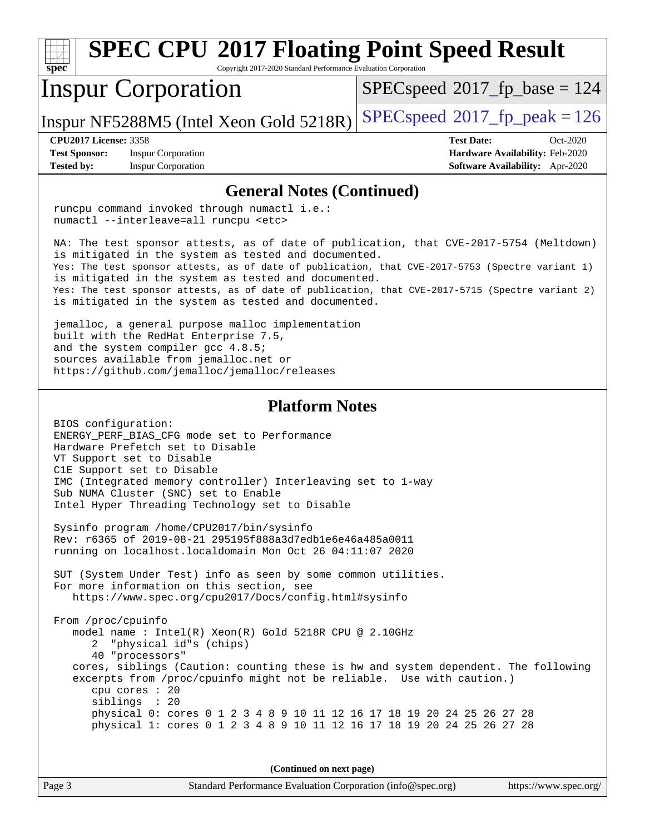| <b>SPEC CPU®2017 Floating Point Speed Result</b><br>spec<br>Copyright 2017-2020 Standard Performance Evaluation Corporation                                                                                                                                                                                                                                                                                                                                            |                                                                                                     |  |  |  |  |  |
|------------------------------------------------------------------------------------------------------------------------------------------------------------------------------------------------------------------------------------------------------------------------------------------------------------------------------------------------------------------------------------------------------------------------------------------------------------------------|-----------------------------------------------------------------------------------------------------|--|--|--|--|--|
| <b>Inspur Corporation</b>                                                                                                                                                                                                                                                                                                                                                                                                                                              | $SPEC speed^{\circ}2017$ fp base = 124                                                              |  |  |  |  |  |
| Inspur NF5288M5 (Intel Xeon Gold 5218R)                                                                                                                                                                                                                                                                                                                                                                                                                                | $SPEC speed^{\circ}2017$ fp peak = 126                                                              |  |  |  |  |  |
| <b>CPU2017 License: 3358</b><br><b>Test Sponsor:</b><br><b>Inspur Corporation</b><br><b>Tested by:</b><br><b>Inspur Corporation</b>                                                                                                                                                                                                                                                                                                                                    | <b>Test Date:</b><br>Oct-2020<br>Hardware Availability: Feb-2020<br>Software Availability: Apr-2020 |  |  |  |  |  |
| <b>General Notes (Continued)</b>                                                                                                                                                                                                                                                                                                                                                                                                                                       |                                                                                                     |  |  |  |  |  |
| runcpu command invoked through numactl i.e.:<br>numactl --interleave=all runcpu <etc></etc>                                                                                                                                                                                                                                                                                                                                                                            |                                                                                                     |  |  |  |  |  |
| NA: The test sponsor attests, as of date of publication, that CVE-2017-5754 (Meltdown)<br>is mitigated in the system as tested and documented.<br>Yes: The test sponsor attests, as of date of publication, that CVE-2017-5753 (Spectre variant 1)<br>is mitigated in the system as tested and documented.<br>Yes: The test sponsor attests, as of date of publication, that CVE-2017-5715 (Spectre variant 2)<br>is mitigated in the system as tested and documented. |                                                                                                     |  |  |  |  |  |
| jemalloc, a general purpose malloc implementation<br>built with the RedHat Enterprise 7.5,<br>and the system compiler gcc 4.8.5;<br>sources available from jemalloc.net or<br>https://github.com/jemalloc/jemalloc/releases                                                                                                                                                                                                                                            |                                                                                                     |  |  |  |  |  |
| <b>Platform Notes</b>                                                                                                                                                                                                                                                                                                                                                                                                                                                  |                                                                                                     |  |  |  |  |  |
| BIOS configuration:<br>ENERGY_PERF_BIAS_CFG mode set to Performance<br>Hardware Prefetch set to Disable<br>VT Support set to Disable<br>C1E Support set to Disable<br>IMC (Integrated memory controller) Interleaving set to 1-way<br>Sub NUMA Cluster (SNC) set to Enable<br>Intel Hyper Threading Technology set to Disable                                                                                                                                          |                                                                                                     |  |  |  |  |  |
| Sysinfo program /home/CPU2017/bin/sysinfo<br>Rev: r6365 of 2019-08-21 295195f888a3d7edble6e46a485a0011<br>running on localhost.localdomain Mon Oct 26 04:11:07 2020                                                                                                                                                                                                                                                                                                    |                                                                                                     |  |  |  |  |  |
| SUT (System Under Test) info as seen by some common utilities.<br>For more information on this section, see<br>https://www.spec.org/cpu2017/Docs/config.html#sysinfo                                                                                                                                                                                                                                                                                                   |                                                                                                     |  |  |  |  |  |
| From /proc/cpuinfo<br>model name : Intel(R) Xeon(R) Gold 5218R CPU @ 2.10GHz<br>"physical id"s (chips)<br>2<br>40 "processors"<br>cores, siblings (Caution: counting these is hw and system dependent. The following<br>excerpts from /proc/cpuinfo might not be reliable. Use with caution.)<br>cpu cores : 20<br>siblings : 20                                                                                                                                       |                                                                                                     |  |  |  |  |  |
| physical 0: cores 0 1 2 3 4 8 9 10 11 12 16 17 18 19 20 24 25 26 27 28<br>physical 1: cores 0 1 2 3 4 8 9 10 11 12 16 17 18 19 20 24 25 26 27 28                                                                                                                                                                                                                                                                                                                       |                                                                                                     |  |  |  |  |  |
| (Continued on next page)                                                                                                                                                                                                                                                                                                                                                                                                                                               |                                                                                                     |  |  |  |  |  |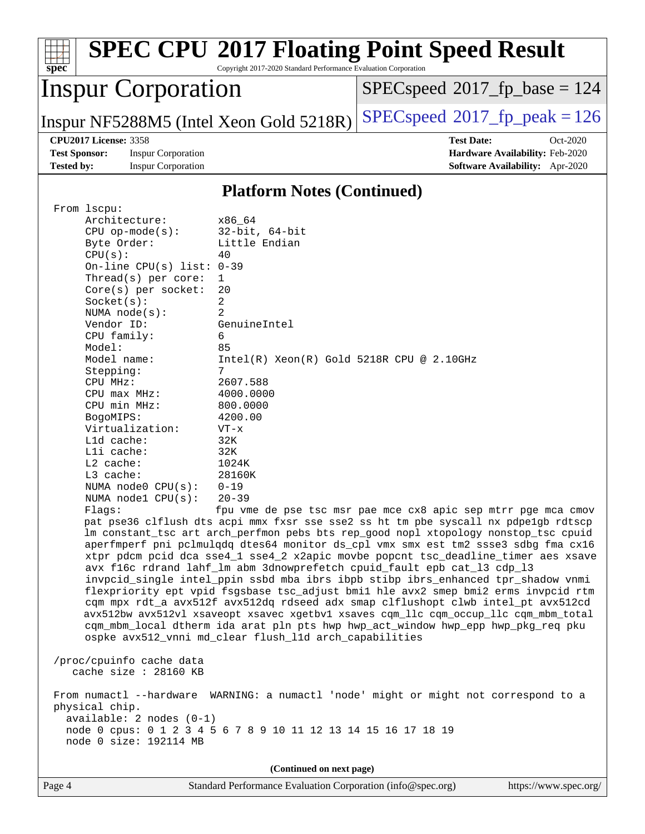| $spec^*$                                  |                                                                                                                                                                                                                                                                                                                                                                                                                                                                                                                                                            | Copyright 2017-2020 Standard Performance Evaluation Corporation                                                                                                                                                                                                                                                                                                                                             | <b>SPEC CPU®2017 Floating Point Speed Result</b>                                                                                                                                                                                                                                                                                                                                                                                                                                                                                                                                                                                                                                                                                                                                                                                                                                                                                                                                                                                    |
|-------------------------------------------|------------------------------------------------------------------------------------------------------------------------------------------------------------------------------------------------------------------------------------------------------------------------------------------------------------------------------------------------------------------------------------------------------------------------------------------------------------------------------------------------------------------------------------------------------------|-------------------------------------------------------------------------------------------------------------------------------------------------------------------------------------------------------------------------------------------------------------------------------------------------------------------------------------------------------------------------------------------------------------|-------------------------------------------------------------------------------------------------------------------------------------------------------------------------------------------------------------------------------------------------------------------------------------------------------------------------------------------------------------------------------------------------------------------------------------------------------------------------------------------------------------------------------------------------------------------------------------------------------------------------------------------------------------------------------------------------------------------------------------------------------------------------------------------------------------------------------------------------------------------------------------------------------------------------------------------------------------------------------------------------------------------------------------|
|                                           | <b>Inspur Corporation</b>                                                                                                                                                                                                                                                                                                                                                                                                                                                                                                                                  |                                                                                                                                                                                                                                                                                                                                                                                                             | $SPEC speed^{\circ}2017\_fp\_base = 124$                                                                                                                                                                                                                                                                                                                                                                                                                                                                                                                                                                                                                                                                                                                                                                                                                                                                                                                                                                                            |
|                                           |                                                                                                                                                                                                                                                                                                                                                                                                                                                                                                                                                            | Inspur NF5288M5 (Intel Xeon Gold 5218R)                                                                                                                                                                                                                                                                                                                                                                     | $SPEC speed^{\circ}2017$ [p_peak = 126                                                                                                                                                                                                                                                                                                                                                                                                                                                                                                                                                                                                                                                                                                                                                                                                                                                                                                                                                                                              |
| <b>Test Sponsor:</b><br><b>Tested by:</b> | <b>CPU2017 License: 3358</b><br><b>Inspur Corporation</b><br><b>Inspur Corporation</b>                                                                                                                                                                                                                                                                                                                                                                                                                                                                     |                                                                                                                                                                                                                                                                                                                                                                                                             | <b>Test Date:</b><br>Oct-2020<br>Hardware Availability: Feb-2020<br>Software Availability: Apr-2020                                                                                                                                                                                                                                                                                                                                                                                                                                                                                                                                                                                                                                                                                                                                                                                                                                                                                                                                 |
|                                           |                                                                                                                                                                                                                                                                                                                                                                                                                                                                                                                                                            | <b>Platform Notes (Continued)</b>                                                                                                                                                                                                                                                                                                                                                                           |                                                                                                                                                                                                                                                                                                                                                                                                                                                                                                                                                                                                                                                                                                                                                                                                                                                                                                                                                                                                                                     |
| From lscpu:<br>physical chip.             | Architecture:<br>$CPU$ op-mode( $s$ ):<br>Byte Order:<br>CPU(s):<br>On-line CPU(s) list: $0-39$<br>Thread( $s$ ) per core:<br>$Core(s)$ per socket:<br>Socket(s):<br>NUMA node(s):<br>Vendor ID:<br>CPU family:<br>Model:<br>Model name:<br>Stepping:<br>CPU MHz:<br>CPU max MHz:<br>CPU min MHz:<br>BogoMIPS:<br>Virtualization:<br>Lld cache:<br>Lli cache:<br>L2 cache:<br>L3 cache:<br>NUMA node0 CPU(s):<br>NUMA nodel CPU(s):<br>Flags:<br>/proc/cpuinfo cache data<br>cache size : 28160 KB<br>$available: 2 nodes (0-1)$<br>node 0 size: 192114 MB | x86 64<br>$32$ -bit, $64$ -bit<br>Little Endian<br>40<br>1<br>20<br>2<br>2<br>GenuineIntel<br>6<br>85<br>$Intel(R) Xeon(R) Gold 5218R CPU @ 2.10GHz$<br>7<br>2607.588<br>4000.0000<br>800.0000<br>4200.00<br>$VT - x$<br>32K<br>32K<br>1024K<br>28160K<br>$0 - 19$<br>$20 - 39$<br>ospke avx512_vnni md_clear flush_l1d arch_capabilities<br>node 0 cpus: 0 1 2 3 4 5 6 7 8 9 10 11 12 13 14 15 16 17 18 19 | fpu vme de pse tsc msr pae mce cx8 apic sep mtrr pge mca cmov<br>pat pse36 clflush dts acpi mmx fxsr sse sse2 ss ht tm pbe syscall nx pdpelgb rdtscp<br>lm constant_tsc art arch_perfmon pebs bts rep_good nopl xtopology nonstop_tsc cpuid<br>aperfmperf pni pclmulqdq dtes64 monitor ds_cpl vmx smx est tm2 ssse3 sdbg fma cx16<br>xtpr pdcm pcid dca sse4_1 sse4_2 x2apic movbe popcnt tsc_deadline_timer aes xsave<br>avx f16c rdrand lahf_lm abm 3dnowprefetch cpuid_fault epb cat_13 cdp_13<br>invpcid_single intel_ppin ssbd mba ibrs ibpb stibp ibrs_enhanced tpr_shadow vnmi<br>flexpriority ept vpid fsgsbase tsc_adjust bmil hle avx2 smep bmi2 erms invpcid rtm<br>cqm mpx rdt_a avx512f avx512dq rdseed adx smap clflushopt clwb intel_pt avx512cd<br>avx512bw avx512vl xsaveopt xsavec xgetbvl xsaves cqm_llc cqm_occup_llc cqm_mbm_total<br>cqm_mbm_local dtherm ida arat pln pts hwp hwp_act_window hwp_epp hwp_pkg_req pku<br>From numactl --hardware WARNING: a numactl 'node' might or might not correspond to a |
|                                           |                                                                                                                                                                                                                                                                                                                                                                                                                                                                                                                                                            | (Continued on next page)                                                                                                                                                                                                                                                                                                                                                                                    |                                                                                                                                                                                                                                                                                                                                                                                                                                                                                                                                                                                                                                                                                                                                                                                                                                                                                                                                                                                                                                     |
| Page 4                                    |                                                                                                                                                                                                                                                                                                                                                                                                                                                                                                                                                            | Standard Performance Evaluation Corporation (info@spec.org)                                                                                                                                                                                                                                                                                                                                                 | https://www.spec.org/                                                                                                                                                                                                                                                                                                                                                                                                                                                                                                                                                                                                                                                                                                                                                                                                                                                                                                                                                                                                               |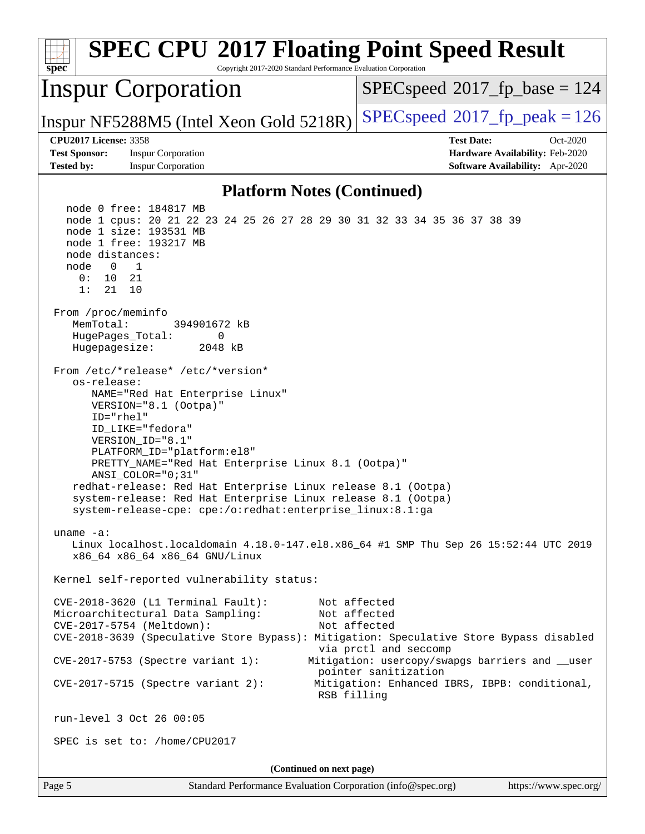| <b>SPEC CPU®2017 Floating Point Speed Result</b><br>Copyright 2017-2020 Standard Performance Evaluation Corporation<br>$spec^*$                                                                                                                                                                                                                                                                                                                                            |                                                                                                                          |  |  |  |  |
|----------------------------------------------------------------------------------------------------------------------------------------------------------------------------------------------------------------------------------------------------------------------------------------------------------------------------------------------------------------------------------------------------------------------------------------------------------------------------|--------------------------------------------------------------------------------------------------------------------------|--|--|--|--|
| <b>Inspur Corporation</b>                                                                                                                                                                                                                                                                                                                                                                                                                                                  | $SPEC speed^{\circ}2017$ fp base = 124                                                                                   |  |  |  |  |
| Inspur NF5288M5 (Intel Xeon Gold 5218R)                                                                                                                                                                                                                                                                                                                                                                                                                                    | $SPEC speed^{\circ}2017$ _fp_peak = 126                                                                                  |  |  |  |  |
| <b>CPU2017 License: 3358</b><br><b>Test Sponsor:</b><br><b>Inspur Corporation</b><br><b>Tested by:</b><br><b>Inspur Corporation</b>                                                                                                                                                                                                                                                                                                                                        | <b>Test Date:</b><br>Oct-2020<br>Hardware Availability: Feb-2020<br>Software Availability: Apr-2020                      |  |  |  |  |
| <b>Platform Notes (Continued)</b>                                                                                                                                                                                                                                                                                                                                                                                                                                          |                                                                                                                          |  |  |  |  |
| node 0 free: 184817 MB<br>node 1 cpus: 20 21 22 23 24 25 26 27 28 29 30 31 32 33 34 35 36 37 38 39<br>node 1 size: 193531 MB<br>node 1 free: 193217 MB<br>node distances:<br>1<br>node<br>$\Omega$<br>0:<br>10<br>21<br>1:<br>21<br>10<br>From /proc/meminfo<br>MemTotal:<br>394901672 kB<br>HugePages_Total:<br>0<br>Hugepagesize:<br>2048 kB                                                                                                                             |                                                                                                                          |  |  |  |  |
| From /etc/*release* /etc/*version*<br>os-release:<br>NAME="Red Hat Enterprise Linux"<br>VERSION="8.1 (Ootpa)"<br>$ID="rhe1"$<br>ID_LIKE="fedora"<br>VERSION_ID="8.1"<br>PLATFORM_ID="platform:el8"<br>PRETTY_NAME="Red Hat Enterprise Linux 8.1 (Ootpa)"<br>ANSI COLOR="0;31"<br>redhat-release: Red Hat Enterprise Linux release 8.1 (Ootpa)<br>system-release: Red Hat Enterprise Linux release 8.1 (Ootpa)<br>system-release-cpe: cpe:/o:redhat:enterprise_linux:8.1:ga |                                                                                                                          |  |  |  |  |
| uname $-a$ :<br>Linux localhost.localdomain 4.18.0-147.el8.x86_64 #1 SMP Thu Sep 26 15:52:44 UTC 2019<br>x86_64 x86_64 x86_64 GNU/Linux                                                                                                                                                                                                                                                                                                                                    |                                                                                                                          |  |  |  |  |
| Kernel self-reported vulnerability status:                                                                                                                                                                                                                                                                                                                                                                                                                                 |                                                                                                                          |  |  |  |  |
| CVE-2018-3620 (L1 Terminal Fault):<br>Microarchitectural Data Sampling:<br>CVE-2017-5754 (Meltdown):<br>CVE-2018-3639 (Speculative Store Bypass): Mitigation: Speculative Store Bypass disabled                                                                                                                                                                                                                                                                            | Not affected<br>Not affected<br>Not affected<br>via prctl and seccomp                                                    |  |  |  |  |
| CVE-2017-5753 (Spectre variant 1):<br>$CVE-2017-5715$ (Spectre variant 2):<br>RSB filling                                                                                                                                                                                                                                                                                                                                                                                  | Mitigation: usercopy/swapgs barriers and __user<br>pointer sanitization<br>Mitigation: Enhanced IBRS, IBPB: conditional, |  |  |  |  |
| run-level 3 Oct 26 00:05                                                                                                                                                                                                                                                                                                                                                                                                                                                   |                                                                                                                          |  |  |  |  |
| SPEC is set to: /home/CPU2017                                                                                                                                                                                                                                                                                                                                                                                                                                              |                                                                                                                          |  |  |  |  |
| (Continued on next page)                                                                                                                                                                                                                                                                                                                                                                                                                                                   |                                                                                                                          |  |  |  |  |
| Page 5<br>Standard Performance Evaluation Corporation (info@spec.org)                                                                                                                                                                                                                                                                                                                                                                                                      | https://www.spec.org/                                                                                                    |  |  |  |  |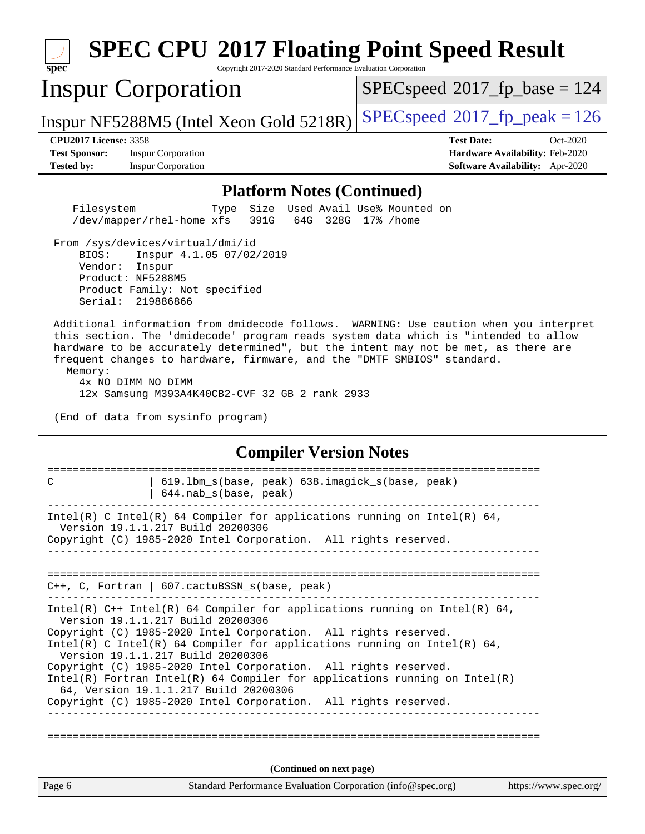| <b>SPEC CPU®2017 Floating Point Speed Result</b><br>Copyright 2017-2020 Standard Performance Evaluation Corporation<br>$spec^*$                                                                                                                                                                                                                                                                                                                                                                                                                                      |                                                                                                     |  |  |  |  |  |
|----------------------------------------------------------------------------------------------------------------------------------------------------------------------------------------------------------------------------------------------------------------------------------------------------------------------------------------------------------------------------------------------------------------------------------------------------------------------------------------------------------------------------------------------------------------------|-----------------------------------------------------------------------------------------------------|--|--|--|--|--|
| <b>Inspur Corporation</b>                                                                                                                                                                                                                                                                                                                                                                                                                                                                                                                                            | $SPEC speed^{\circ}2017$ fp base = 124                                                              |  |  |  |  |  |
| Inspur NF5288M5 (Intel Xeon Gold 5218R)                                                                                                                                                                                                                                                                                                                                                                                                                                                                                                                              | $SPEC speed^{\circ}2017$ fp peak = 126                                                              |  |  |  |  |  |
| <b>CPU2017 License: 3358</b><br><b>Test Sponsor:</b><br><b>Inspur Corporation</b><br><b>Tested by:</b><br><b>Inspur Corporation</b>                                                                                                                                                                                                                                                                                                                                                                                                                                  | <b>Test Date:</b><br>Oct-2020<br>Hardware Availability: Feb-2020<br>Software Availability: Apr-2020 |  |  |  |  |  |
| <b>Platform Notes (Continued)</b>                                                                                                                                                                                                                                                                                                                                                                                                                                                                                                                                    |                                                                                                     |  |  |  |  |  |
| Filesystem<br>Size Used Avail Use% Mounted on<br>Type<br>391G<br>/dev/mapper/rhel-home xfs                                                                                                                                                                                                                                                                                                                                                                                                                                                                           | 64G 328G 17% / home                                                                                 |  |  |  |  |  |
| From /sys/devices/virtual/dmi/id<br>BIOS:<br>Inspur 4.1.05 07/02/2019<br>Vendor: Inspur<br>Product: NF5288M5<br>Product Family: Not specified<br>Serial: 219886866                                                                                                                                                                                                                                                                                                                                                                                                   |                                                                                                     |  |  |  |  |  |
| Additional information from dmidecode follows. WARNING: Use caution when you interpret<br>this section. The 'dmidecode' program reads system data which is "intended to allow<br>hardware to be accurately determined", but the intent may not be met, as there are<br>frequent changes to hardware, firmware, and the "DMTF SMBIOS" standard.<br>Memory:<br>4x NO DIMM NO DIMM<br>12x Samsung M393A4K40CB2-CVF 32 GB 2 rank 2933                                                                                                                                    |                                                                                                     |  |  |  |  |  |
| (End of data from sysinfo program)                                                                                                                                                                                                                                                                                                                                                                                                                                                                                                                                   |                                                                                                     |  |  |  |  |  |
| <b>Compiler Version Notes</b>                                                                                                                                                                                                                                                                                                                                                                                                                                                                                                                                        |                                                                                                     |  |  |  |  |  |
| 619.1bm_s(base, peak) 638.imagick_s(base, peak)<br>C<br>644.nab_s(base, peak)                                                                                                                                                                                                                                                                                                                                                                                                                                                                                        |                                                                                                     |  |  |  |  |  |
| --------------------------------<br>Intel(R) C Intel(R) 64 Compiler for applications running on Intel(R) 64,<br>Version 19.1.1.217 Build 20200306<br>Copyright (C) 1985-2020 Intel Corporation. All rights reserved.<br>--------------------------                                                                                                                                                                                                                                                                                                                   |                                                                                                     |  |  |  |  |  |
| $C++$ , C, Fortran   607. cactuBSSN_s(base, peak)                                                                                                                                                                                                                                                                                                                                                                                                                                                                                                                    |                                                                                                     |  |  |  |  |  |
| Intel(R) $C++$ Intel(R) 64 Compiler for applications running on Intel(R) 64,<br>Version 19.1.1.217 Build 20200306<br>Copyright (C) 1985-2020 Intel Corporation. All rights reserved.<br>Intel(R) C Intel(R) 64 Compiler for applications running on Intel(R) 64,<br>Version 19.1.1.217 Build 20200306<br>Copyright (C) 1985-2020 Intel Corporation. All rights reserved.<br>$Intel(R)$ Fortran Intel(R) 64 Compiler for applications running on Intel(R)<br>64, Version 19.1.1.217 Build 20200306<br>Copyright (C) 1985-2020 Intel Corporation. All rights reserved. |                                                                                                     |  |  |  |  |  |
|                                                                                                                                                                                                                                                                                                                                                                                                                                                                                                                                                                      |                                                                                                     |  |  |  |  |  |
| (Continued on next page)                                                                                                                                                                                                                                                                                                                                                                                                                                                                                                                                             |                                                                                                     |  |  |  |  |  |
| Page 6<br>Standard Performance Evaluation Corporation (info@spec.org)                                                                                                                                                                                                                                                                                                                                                                                                                                                                                                | https://www.spec.org/                                                                               |  |  |  |  |  |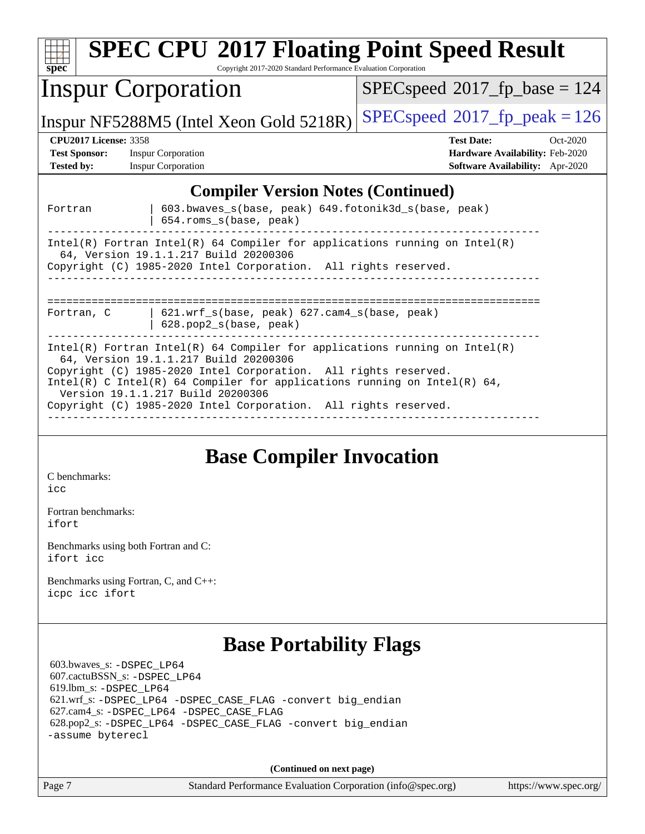| spec                                                                                                                                                                                                                                                                                                      | <b>SPEC CPU®2017 Floating Point Speed Result</b><br>Copyright 2017-2020 Standard Performance Evaluation Corporation |                                        |  |  |  |
|-----------------------------------------------------------------------------------------------------------------------------------------------------------------------------------------------------------------------------------------------------------------------------------------------------------|---------------------------------------------------------------------------------------------------------------------|----------------------------------------|--|--|--|
|                                                                                                                                                                                                                                                                                                           | <b>Inspur Corporation</b>                                                                                           | $SPEC speed^{\circ}2017$ fp base = 124 |  |  |  |
|                                                                                                                                                                                                                                                                                                           | Inspur NF5288M5 (Intel Xeon Gold 5218R)                                                                             | $SPEC speed^{\circ}2017$ fp peak = 126 |  |  |  |
| <b>CPU2017 License: 3358</b>                                                                                                                                                                                                                                                                              |                                                                                                                     | <b>Test Date:</b><br>$Oct-2020$        |  |  |  |
| <b>Test Sponsor:</b>                                                                                                                                                                                                                                                                                      | <b>Inspur Corporation</b>                                                                                           | Hardware Availability: Feb-2020        |  |  |  |
| <b>Tested by:</b>                                                                                                                                                                                                                                                                                         | <b>Inspur Corporation</b>                                                                                           | Software Availability: Apr-2020        |  |  |  |
|                                                                                                                                                                                                                                                                                                           | <b>Compiler Version Notes (Continued)</b>                                                                           |                                        |  |  |  |
| Fortran                                                                                                                                                                                                                                                                                                   | 603.bwaves_s(base, peak) 649.fotonik3d_s(base, peak)<br>654.roms_s(base, peak)                                      |                                        |  |  |  |
| $Intel(R)$ Fortran Intel(R) 64 Compiler for applications running on Intel(R)<br>64, Version 19.1.1.217 Build 20200306<br>Copyright (C) 1985-2020 Intel Corporation. All rights reserved.                                                                                                                  |                                                                                                                     |                                        |  |  |  |
| 621.wrf_s(base, peak) 627.cam4_s(base, peak)<br>Fortran, C<br>628.pop2_s(base, peak)                                                                                                                                                                                                                      |                                                                                                                     |                                        |  |  |  |
| $Intel(R)$ Fortran Intel(R) 64 Compiler for applications running on Intel(R)<br>64, Version 19.1.1.217 Build 20200306<br>Copyright (C) 1985-2020 Intel Corporation. All rights reserved.<br>Intel(R) C Intel(R) 64 Compiler for applications running on Intel(R) 64,<br>Version 19.1.1.217 Build 20200306 |                                                                                                                     |                                        |  |  |  |
|                                                                                                                                                                                                                                                                                                           | Copyright (C) 1985-2020 Intel Corporation. All rights reserved.                                                     |                                        |  |  |  |
|                                                                                                                                                                                                                                                                                                           | <b>Base Compiler Invocation</b>                                                                                     |                                        |  |  |  |
| C benchmarks:                                                                                                                                                                                                                                                                                             |                                                                                                                     |                                        |  |  |  |

[icc](http://www.spec.org/cpu2017/results/res2020q4/cpu2017-20201109-24374.flags.html#user_CCbase_intel_icc_66fc1ee009f7361af1fbd72ca7dcefbb700085f36577c54f309893dd4ec40d12360134090235512931783d35fd58c0460139e722d5067c5574d8eaf2b3e37e92)

[Fortran benchmarks](http://www.spec.org/auto/cpu2017/Docs/result-fields.html#Fortranbenchmarks): [ifort](http://www.spec.org/cpu2017/results/res2020q4/cpu2017-20201109-24374.flags.html#user_FCbase_intel_ifort_8111460550e3ca792625aed983ce982f94888b8b503583aa7ba2b8303487b4d8a21a13e7191a45c5fd58ff318f48f9492884d4413fa793fd88dd292cad7027ca)

[Benchmarks using both Fortran and C](http://www.spec.org/auto/cpu2017/Docs/result-fields.html#BenchmarksusingbothFortranandC): [ifort](http://www.spec.org/cpu2017/results/res2020q4/cpu2017-20201109-24374.flags.html#user_CC_FCbase_intel_ifort_8111460550e3ca792625aed983ce982f94888b8b503583aa7ba2b8303487b4d8a21a13e7191a45c5fd58ff318f48f9492884d4413fa793fd88dd292cad7027ca) [icc](http://www.spec.org/cpu2017/results/res2020q4/cpu2017-20201109-24374.flags.html#user_CC_FCbase_intel_icc_66fc1ee009f7361af1fbd72ca7dcefbb700085f36577c54f309893dd4ec40d12360134090235512931783d35fd58c0460139e722d5067c5574d8eaf2b3e37e92)

[Benchmarks using Fortran, C, and C++:](http://www.spec.org/auto/cpu2017/Docs/result-fields.html#BenchmarksusingFortranCandCXX) [icpc](http://www.spec.org/cpu2017/results/res2020q4/cpu2017-20201109-24374.flags.html#user_CC_CXX_FCbase_intel_icpc_c510b6838c7f56d33e37e94d029a35b4a7bccf4766a728ee175e80a419847e808290a9b78be685c44ab727ea267ec2f070ec5dc83b407c0218cded6866a35d07) [icc](http://www.spec.org/cpu2017/results/res2020q4/cpu2017-20201109-24374.flags.html#user_CC_CXX_FCbase_intel_icc_66fc1ee009f7361af1fbd72ca7dcefbb700085f36577c54f309893dd4ec40d12360134090235512931783d35fd58c0460139e722d5067c5574d8eaf2b3e37e92) [ifort](http://www.spec.org/cpu2017/results/res2020q4/cpu2017-20201109-24374.flags.html#user_CC_CXX_FCbase_intel_ifort_8111460550e3ca792625aed983ce982f94888b8b503583aa7ba2b8303487b4d8a21a13e7191a45c5fd58ff318f48f9492884d4413fa793fd88dd292cad7027ca)

## **[Base Portability Flags](http://www.spec.org/auto/cpu2017/Docs/result-fields.html#BasePortabilityFlags)**

 603.bwaves\_s: [-DSPEC\\_LP64](http://www.spec.org/cpu2017/results/res2020q4/cpu2017-20201109-24374.flags.html#suite_basePORTABILITY603_bwaves_s_DSPEC_LP64) 607.cactuBSSN\_s: [-DSPEC\\_LP64](http://www.spec.org/cpu2017/results/res2020q4/cpu2017-20201109-24374.flags.html#suite_basePORTABILITY607_cactuBSSN_s_DSPEC_LP64) 619.lbm\_s: [-DSPEC\\_LP64](http://www.spec.org/cpu2017/results/res2020q4/cpu2017-20201109-24374.flags.html#suite_basePORTABILITY619_lbm_s_DSPEC_LP64) 621.wrf\_s: [-DSPEC\\_LP64](http://www.spec.org/cpu2017/results/res2020q4/cpu2017-20201109-24374.flags.html#suite_basePORTABILITY621_wrf_s_DSPEC_LP64) [-DSPEC\\_CASE\\_FLAG](http://www.spec.org/cpu2017/results/res2020q4/cpu2017-20201109-24374.flags.html#b621.wrf_s_baseCPORTABILITY_DSPEC_CASE_FLAG) [-convert big\\_endian](http://www.spec.org/cpu2017/results/res2020q4/cpu2017-20201109-24374.flags.html#user_baseFPORTABILITY621_wrf_s_convert_big_endian_c3194028bc08c63ac5d04de18c48ce6d347e4e562e8892b8bdbdc0214820426deb8554edfa529a3fb25a586e65a3d812c835984020483e7e73212c4d31a38223) 627.cam4\_s: [-DSPEC\\_LP64](http://www.spec.org/cpu2017/results/res2020q4/cpu2017-20201109-24374.flags.html#suite_basePORTABILITY627_cam4_s_DSPEC_LP64) [-DSPEC\\_CASE\\_FLAG](http://www.spec.org/cpu2017/results/res2020q4/cpu2017-20201109-24374.flags.html#b627.cam4_s_baseCPORTABILITY_DSPEC_CASE_FLAG) 628.pop2\_s: [-DSPEC\\_LP64](http://www.spec.org/cpu2017/results/res2020q4/cpu2017-20201109-24374.flags.html#suite_basePORTABILITY628_pop2_s_DSPEC_LP64) [-DSPEC\\_CASE\\_FLAG](http://www.spec.org/cpu2017/results/res2020q4/cpu2017-20201109-24374.flags.html#b628.pop2_s_baseCPORTABILITY_DSPEC_CASE_FLAG) [-convert big\\_endian](http://www.spec.org/cpu2017/results/res2020q4/cpu2017-20201109-24374.flags.html#user_baseFPORTABILITY628_pop2_s_convert_big_endian_c3194028bc08c63ac5d04de18c48ce6d347e4e562e8892b8bdbdc0214820426deb8554edfa529a3fb25a586e65a3d812c835984020483e7e73212c4d31a38223) [-assume byterecl](http://www.spec.org/cpu2017/results/res2020q4/cpu2017-20201109-24374.flags.html#user_baseFPORTABILITY628_pop2_s_assume_byterecl_7e47d18b9513cf18525430bbf0f2177aa9bf368bc7a059c09b2c06a34b53bd3447c950d3f8d6c70e3faf3a05c8557d66a5798b567902e8849adc142926523472)

**(Continued on next page)**

Page 7 Standard Performance Evaluation Corporation [\(info@spec.org\)](mailto:info@spec.org) <https://www.spec.org/>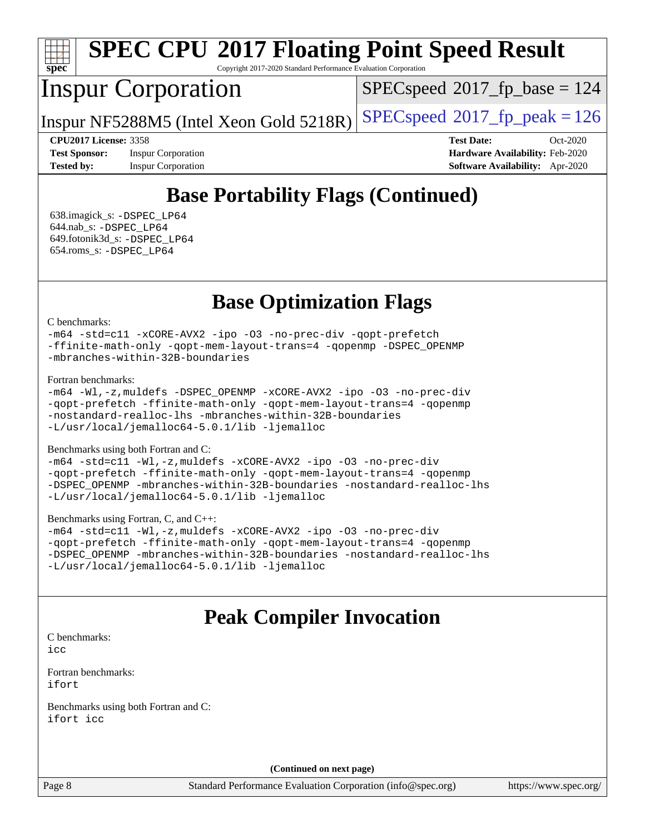

# **[SPEC CPU](http://www.spec.org/auto/cpu2017/Docs/result-fields.html#SPECCPU2017FloatingPointSpeedResult)[2017 Floating Point Speed Result](http://www.spec.org/auto/cpu2017/Docs/result-fields.html#SPECCPU2017FloatingPointSpeedResult)**

Copyright 2017-2020 Standard Performance Evaluation Corporation

## Inspur Corporation

[SPECspeed](http://www.spec.org/auto/cpu2017/Docs/result-fields.html#SPECspeed2017fpbase)<sup>®</sup>2017 fp base = 124

Inspur NF5288M5 (Intel Xeon Gold 5218R)  $SPEC speed@2017_f$  p\_peak = 126

**[CPU2017 License:](http://www.spec.org/auto/cpu2017/Docs/result-fields.html#CPU2017License)** 3358 **[Test Date:](http://www.spec.org/auto/cpu2017/Docs/result-fields.html#TestDate)** Oct-2020 **[Test Sponsor:](http://www.spec.org/auto/cpu2017/Docs/result-fields.html#TestSponsor)** Inspur Corporation **[Hardware Availability:](http://www.spec.org/auto/cpu2017/Docs/result-fields.html#HardwareAvailability)** Feb-2020 **[Tested by:](http://www.spec.org/auto/cpu2017/Docs/result-fields.html#Testedby)** Inspur Corporation **[Software Availability:](http://www.spec.org/auto/cpu2017/Docs/result-fields.html#SoftwareAvailability)** Apr-2020

## **[Base Portability Flags \(Continued\)](http://www.spec.org/auto/cpu2017/Docs/result-fields.html#BasePortabilityFlags)**

 638.imagick\_s: [-DSPEC\\_LP64](http://www.spec.org/cpu2017/results/res2020q4/cpu2017-20201109-24374.flags.html#suite_basePORTABILITY638_imagick_s_DSPEC_LP64) 644.nab\_s: [-DSPEC\\_LP64](http://www.spec.org/cpu2017/results/res2020q4/cpu2017-20201109-24374.flags.html#suite_basePORTABILITY644_nab_s_DSPEC_LP64) 649.fotonik3d\_s: [-DSPEC\\_LP64](http://www.spec.org/cpu2017/results/res2020q4/cpu2017-20201109-24374.flags.html#suite_basePORTABILITY649_fotonik3d_s_DSPEC_LP64) 654.roms\_s: [-DSPEC\\_LP64](http://www.spec.org/cpu2017/results/res2020q4/cpu2017-20201109-24374.flags.html#suite_basePORTABILITY654_roms_s_DSPEC_LP64)

**[Base Optimization Flags](http://www.spec.org/auto/cpu2017/Docs/result-fields.html#BaseOptimizationFlags)**

#### [C benchmarks](http://www.spec.org/auto/cpu2017/Docs/result-fields.html#Cbenchmarks):

[-m64](http://www.spec.org/cpu2017/results/res2020q4/cpu2017-20201109-24374.flags.html#user_CCbase_m64-icc) [-std=c11](http://www.spec.org/cpu2017/results/res2020q4/cpu2017-20201109-24374.flags.html#user_CCbase_std-icc-std_0e1c27790398a4642dfca32ffe6c27b5796f9c2d2676156f2e42c9c44eaad0c049b1cdb667a270c34d979996257aeb8fc440bfb01818dbc9357bd9d174cb8524) [-xCORE-AVX2](http://www.spec.org/cpu2017/results/res2020q4/cpu2017-20201109-24374.flags.html#user_CCbase_f-xCORE-AVX2) [-ipo](http://www.spec.org/cpu2017/results/res2020q4/cpu2017-20201109-24374.flags.html#user_CCbase_f-ipo) [-O3](http://www.spec.org/cpu2017/results/res2020q4/cpu2017-20201109-24374.flags.html#user_CCbase_f-O3) [-no-prec-div](http://www.spec.org/cpu2017/results/res2020q4/cpu2017-20201109-24374.flags.html#user_CCbase_f-no-prec-div) [-qopt-prefetch](http://www.spec.org/cpu2017/results/res2020q4/cpu2017-20201109-24374.flags.html#user_CCbase_f-qopt-prefetch) [-ffinite-math-only](http://www.spec.org/cpu2017/results/res2020q4/cpu2017-20201109-24374.flags.html#user_CCbase_f_finite_math_only_cb91587bd2077682c4b38af759c288ed7c732db004271a9512da14a4f8007909a5f1427ecbf1a0fb78ff2a814402c6114ac565ca162485bbcae155b5e4258871) [-qopt-mem-layout-trans=4](http://www.spec.org/cpu2017/results/res2020q4/cpu2017-20201109-24374.flags.html#user_CCbase_f-qopt-mem-layout-trans_fa39e755916c150a61361b7846f310bcdf6f04e385ef281cadf3647acec3f0ae266d1a1d22d972a7087a248fd4e6ca390a3634700869573d231a252c784941a8) [-qopenmp](http://www.spec.org/cpu2017/results/res2020q4/cpu2017-20201109-24374.flags.html#user_CCbase_qopenmp_16be0c44f24f464004c6784a7acb94aca937f053568ce72f94b139a11c7c168634a55f6653758ddd83bcf7b8463e8028bb0b48b77bcddc6b78d5d95bb1df2967) [-DSPEC\\_OPENMP](http://www.spec.org/cpu2017/results/res2020q4/cpu2017-20201109-24374.flags.html#suite_CCbase_DSPEC_OPENMP) [-mbranches-within-32B-boundaries](http://www.spec.org/cpu2017/results/res2020q4/cpu2017-20201109-24374.flags.html#user_CCbase_f-mbranches-within-32B-boundaries)

#### [Fortran benchmarks](http://www.spec.org/auto/cpu2017/Docs/result-fields.html#Fortranbenchmarks):

[-m64](http://www.spec.org/cpu2017/results/res2020q4/cpu2017-20201109-24374.flags.html#user_FCbase_m64-icc) [-Wl,-z,muldefs](http://www.spec.org/cpu2017/results/res2020q4/cpu2017-20201109-24374.flags.html#user_FCbase_link_force_multiple1_b4cbdb97b34bdee9ceefcfe54f4c8ea74255f0b02a4b23e853cdb0e18eb4525ac79b5a88067c842dd0ee6996c24547a27a4b99331201badda8798ef8a743f577) [-DSPEC\\_OPENMP](http://www.spec.org/cpu2017/results/res2020q4/cpu2017-20201109-24374.flags.html#suite_FCbase_DSPEC_OPENMP) [-xCORE-AVX2](http://www.spec.org/cpu2017/results/res2020q4/cpu2017-20201109-24374.flags.html#user_FCbase_f-xCORE-AVX2) [-ipo](http://www.spec.org/cpu2017/results/res2020q4/cpu2017-20201109-24374.flags.html#user_FCbase_f-ipo) [-O3](http://www.spec.org/cpu2017/results/res2020q4/cpu2017-20201109-24374.flags.html#user_FCbase_f-O3) [-no-prec-div](http://www.spec.org/cpu2017/results/res2020q4/cpu2017-20201109-24374.flags.html#user_FCbase_f-no-prec-div) [-qopt-prefetch](http://www.spec.org/cpu2017/results/res2020q4/cpu2017-20201109-24374.flags.html#user_FCbase_f-qopt-prefetch) [-ffinite-math-only](http://www.spec.org/cpu2017/results/res2020q4/cpu2017-20201109-24374.flags.html#user_FCbase_f_finite_math_only_cb91587bd2077682c4b38af759c288ed7c732db004271a9512da14a4f8007909a5f1427ecbf1a0fb78ff2a814402c6114ac565ca162485bbcae155b5e4258871) [-qopt-mem-layout-trans=4](http://www.spec.org/cpu2017/results/res2020q4/cpu2017-20201109-24374.flags.html#user_FCbase_f-qopt-mem-layout-trans_fa39e755916c150a61361b7846f310bcdf6f04e385ef281cadf3647acec3f0ae266d1a1d22d972a7087a248fd4e6ca390a3634700869573d231a252c784941a8) [-qopenmp](http://www.spec.org/cpu2017/results/res2020q4/cpu2017-20201109-24374.flags.html#user_FCbase_qopenmp_16be0c44f24f464004c6784a7acb94aca937f053568ce72f94b139a11c7c168634a55f6653758ddd83bcf7b8463e8028bb0b48b77bcddc6b78d5d95bb1df2967) [-nostandard-realloc-lhs](http://www.spec.org/cpu2017/results/res2020q4/cpu2017-20201109-24374.flags.html#user_FCbase_f_2003_std_realloc_82b4557e90729c0f113870c07e44d33d6f5a304b4f63d4c15d2d0f1fab99f5daaed73bdb9275d9ae411527f28b936061aa8b9c8f2d63842963b95c9dd6426b8a) [-mbranches-within-32B-boundaries](http://www.spec.org/cpu2017/results/res2020q4/cpu2017-20201109-24374.flags.html#user_FCbase_f-mbranches-within-32B-boundaries) [-L/usr/local/jemalloc64-5.0.1/lib](http://www.spec.org/cpu2017/results/res2020q4/cpu2017-20201109-24374.flags.html#user_FCbase_jemalloc_link_path64_1_cc289568b1a6c0fd3b62c91b824c27fcb5af5e8098e6ad028160d21144ef1b8aef3170d2acf0bee98a8da324cfe4f67d0a3d0c4cc4673d993d694dc2a0df248b) [-ljemalloc](http://www.spec.org/cpu2017/results/res2020q4/cpu2017-20201109-24374.flags.html#user_FCbase_jemalloc_link_lib_d1249b907c500fa1c0672f44f562e3d0f79738ae9e3c4a9c376d49f265a04b9c99b167ecedbf6711b3085be911c67ff61f150a17b3472be731631ba4d0471706)

#### [Benchmarks using both Fortran and C](http://www.spec.org/auto/cpu2017/Docs/result-fields.html#BenchmarksusingbothFortranandC):

[-m64](http://www.spec.org/cpu2017/results/res2020q4/cpu2017-20201109-24374.flags.html#user_CC_FCbase_m64-icc) [-std=c11](http://www.spec.org/cpu2017/results/res2020q4/cpu2017-20201109-24374.flags.html#user_CC_FCbase_std-icc-std_0e1c27790398a4642dfca32ffe6c27b5796f9c2d2676156f2e42c9c44eaad0c049b1cdb667a270c34d979996257aeb8fc440bfb01818dbc9357bd9d174cb8524) [-Wl,-z,muldefs](http://www.spec.org/cpu2017/results/res2020q4/cpu2017-20201109-24374.flags.html#user_CC_FCbase_link_force_multiple1_b4cbdb97b34bdee9ceefcfe54f4c8ea74255f0b02a4b23e853cdb0e18eb4525ac79b5a88067c842dd0ee6996c24547a27a4b99331201badda8798ef8a743f577) [-xCORE-AVX2](http://www.spec.org/cpu2017/results/res2020q4/cpu2017-20201109-24374.flags.html#user_CC_FCbase_f-xCORE-AVX2) [-ipo](http://www.spec.org/cpu2017/results/res2020q4/cpu2017-20201109-24374.flags.html#user_CC_FCbase_f-ipo) [-O3](http://www.spec.org/cpu2017/results/res2020q4/cpu2017-20201109-24374.flags.html#user_CC_FCbase_f-O3) [-no-prec-div](http://www.spec.org/cpu2017/results/res2020q4/cpu2017-20201109-24374.flags.html#user_CC_FCbase_f-no-prec-div) [-qopt-prefetch](http://www.spec.org/cpu2017/results/res2020q4/cpu2017-20201109-24374.flags.html#user_CC_FCbase_f-qopt-prefetch) [-ffinite-math-only](http://www.spec.org/cpu2017/results/res2020q4/cpu2017-20201109-24374.flags.html#user_CC_FCbase_f_finite_math_only_cb91587bd2077682c4b38af759c288ed7c732db004271a9512da14a4f8007909a5f1427ecbf1a0fb78ff2a814402c6114ac565ca162485bbcae155b5e4258871) [-qopt-mem-layout-trans=4](http://www.spec.org/cpu2017/results/res2020q4/cpu2017-20201109-24374.flags.html#user_CC_FCbase_f-qopt-mem-layout-trans_fa39e755916c150a61361b7846f310bcdf6f04e385ef281cadf3647acec3f0ae266d1a1d22d972a7087a248fd4e6ca390a3634700869573d231a252c784941a8) [-qopenmp](http://www.spec.org/cpu2017/results/res2020q4/cpu2017-20201109-24374.flags.html#user_CC_FCbase_qopenmp_16be0c44f24f464004c6784a7acb94aca937f053568ce72f94b139a11c7c168634a55f6653758ddd83bcf7b8463e8028bb0b48b77bcddc6b78d5d95bb1df2967) [-DSPEC\\_OPENMP](http://www.spec.org/cpu2017/results/res2020q4/cpu2017-20201109-24374.flags.html#suite_CC_FCbase_DSPEC_OPENMP) [-mbranches-within-32B-boundaries](http://www.spec.org/cpu2017/results/res2020q4/cpu2017-20201109-24374.flags.html#user_CC_FCbase_f-mbranches-within-32B-boundaries) [-nostandard-realloc-lhs](http://www.spec.org/cpu2017/results/res2020q4/cpu2017-20201109-24374.flags.html#user_CC_FCbase_f_2003_std_realloc_82b4557e90729c0f113870c07e44d33d6f5a304b4f63d4c15d2d0f1fab99f5daaed73bdb9275d9ae411527f28b936061aa8b9c8f2d63842963b95c9dd6426b8a) [-L/usr/local/jemalloc64-5.0.1/lib](http://www.spec.org/cpu2017/results/res2020q4/cpu2017-20201109-24374.flags.html#user_CC_FCbase_jemalloc_link_path64_1_cc289568b1a6c0fd3b62c91b824c27fcb5af5e8098e6ad028160d21144ef1b8aef3170d2acf0bee98a8da324cfe4f67d0a3d0c4cc4673d993d694dc2a0df248b) [-ljemalloc](http://www.spec.org/cpu2017/results/res2020q4/cpu2017-20201109-24374.flags.html#user_CC_FCbase_jemalloc_link_lib_d1249b907c500fa1c0672f44f562e3d0f79738ae9e3c4a9c376d49f265a04b9c99b167ecedbf6711b3085be911c67ff61f150a17b3472be731631ba4d0471706)

#### [Benchmarks using Fortran, C, and C++:](http://www.spec.org/auto/cpu2017/Docs/result-fields.html#BenchmarksusingFortranCandCXX)

[-m64](http://www.spec.org/cpu2017/results/res2020q4/cpu2017-20201109-24374.flags.html#user_CC_CXX_FCbase_m64-icc) [-std=c11](http://www.spec.org/cpu2017/results/res2020q4/cpu2017-20201109-24374.flags.html#user_CC_CXX_FCbase_std-icc-std_0e1c27790398a4642dfca32ffe6c27b5796f9c2d2676156f2e42c9c44eaad0c049b1cdb667a270c34d979996257aeb8fc440bfb01818dbc9357bd9d174cb8524) [-Wl,-z,muldefs](http://www.spec.org/cpu2017/results/res2020q4/cpu2017-20201109-24374.flags.html#user_CC_CXX_FCbase_link_force_multiple1_b4cbdb97b34bdee9ceefcfe54f4c8ea74255f0b02a4b23e853cdb0e18eb4525ac79b5a88067c842dd0ee6996c24547a27a4b99331201badda8798ef8a743f577) [-xCORE-AVX2](http://www.spec.org/cpu2017/results/res2020q4/cpu2017-20201109-24374.flags.html#user_CC_CXX_FCbase_f-xCORE-AVX2) [-ipo](http://www.spec.org/cpu2017/results/res2020q4/cpu2017-20201109-24374.flags.html#user_CC_CXX_FCbase_f-ipo) [-O3](http://www.spec.org/cpu2017/results/res2020q4/cpu2017-20201109-24374.flags.html#user_CC_CXX_FCbase_f-O3) [-no-prec-div](http://www.spec.org/cpu2017/results/res2020q4/cpu2017-20201109-24374.flags.html#user_CC_CXX_FCbase_f-no-prec-div) [-qopt-prefetch](http://www.spec.org/cpu2017/results/res2020q4/cpu2017-20201109-24374.flags.html#user_CC_CXX_FCbase_f-qopt-prefetch) [-ffinite-math-only](http://www.spec.org/cpu2017/results/res2020q4/cpu2017-20201109-24374.flags.html#user_CC_CXX_FCbase_f_finite_math_only_cb91587bd2077682c4b38af759c288ed7c732db004271a9512da14a4f8007909a5f1427ecbf1a0fb78ff2a814402c6114ac565ca162485bbcae155b5e4258871) [-qopt-mem-layout-trans=4](http://www.spec.org/cpu2017/results/res2020q4/cpu2017-20201109-24374.flags.html#user_CC_CXX_FCbase_f-qopt-mem-layout-trans_fa39e755916c150a61361b7846f310bcdf6f04e385ef281cadf3647acec3f0ae266d1a1d22d972a7087a248fd4e6ca390a3634700869573d231a252c784941a8) [-qopenmp](http://www.spec.org/cpu2017/results/res2020q4/cpu2017-20201109-24374.flags.html#user_CC_CXX_FCbase_qopenmp_16be0c44f24f464004c6784a7acb94aca937f053568ce72f94b139a11c7c168634a55f6653758ddd83bcf7b8463e8028bb0b48b77bcddc6b78d5d95bb1df2967) [-DSPEC\\_OPENMP](http://www.spec.org/cpu2017/results/res2020q4/cpu2017-20201109-24374.flags.html#suite_CC_CXX_FCbase_DSPEC_OPENMP) [-mbranches-within-32B-boundaries](http://www.spec.org/cpu2017/results/res2020q4/cpu2017-20201109-24374.flags.html#user_CC_CXX_FCbase_f-mbranches-within-32B-boundaries) [-nostandard-realloc-lhs](http://www.spec.org/cpu2017/results/res2020q4/cpu2017-20201109-24374.flags.html#user_CC_CXX_FCbase_f_2003_std_realloc_82b4557e90729c0f113870c07e44d33d6f5a304b4f63d4c15d2d0f1fab99f5daaed73bdb9275d9ae411527f28b936061aa8b9c8f2d63842963b95c9dd6426b8a) [-L/usr/local/jemalloc64-5.0.1/lib](http://www.spec.org/cpu2017/results/res2020q4/cpu2017-20201109-24374.flags.html#user_CC_CXX_FCbase_jemalloc_link_path64_1_cc289568b1a6c0fd3b62c91b824c27fcb5af5e8098e6ad028160d21144ef1b8aef3170d2acf0bee98a8da324cfe4f67d0a3d0c4cc4673d993d694dc2a0df248b) [-ljemalloc](http://www.spec.org/cpu2017/results/res2020q4/cpu2017-20201109-24374.flags.html#user_CC_CXX_FCbase_jemalloc_link_lib_d1249b907c500fa1c0672f44f562e3d0f79738ae9e3c4a9c376d49f265a04b9c99b167ecedbf6711b3085be911c67ff61f150a17b3472be731631ba4d0471706)

### **[Peak Compiler Invocation](http://www.spec.org/auto/cpu2017/Docs/result-fields.html#PeakCompilerInvocation)**

[C benchmarks](http://www.spec.org/auto/cpu2017/Docs/result-fields.html#Cbenchmarks): [icc](http://www.spec.org/cpu2017/results/res2020q4/cpu2017-20201109-24374.flags.html#user_CCpeak_intel_icc_66fc1ee009f7361af1fbd72ca7dcefbb700085f36577c54f309893dd4ec40d12360134090235512931783d35fd58c0460139e722d5067c5574d8eaf2b3e37e92)

[Fortran benchmarks](http://www.spec.org/auto/cpu2017/Docs/result-fields.html#Fortranbenchmarks): [ifort](http://www.spec.org/cpu2017/results/res2020q4/cpu2017-20201109-24374.flags.html#user_FCpeak_intel_ifort_8111460550e3ca792625aed983ce982f94888b8b503583aa7ba2b8303487b4d8a21a13e7191a45c5fd58ff318f48f9492884d4413fa793fd88dd292cad7027ca)

[Benchmarks using both Fortran and C](http://www.spec.org/auto/cpu2017/Docs/result-fields.html#BenchmarksusingbothFortranandC): [ifort](http://www.spec.org/cpu2017/results/res2020q4/cpu2017-20201109-24374.flags.html#user_CC_FCpeak_intel_ifort_8111460550e3ca792625aed983ce982f94888b8b503583aa7ba2b8303487b4d8a21a13e7191a45c5fd58ff318f48f9492884d4413fa793fd88dd292cad7027ca) [icc](http://www.spec.org/cpu2017/results/res2020q4/cpu2017-20201109-24374.flags.html#user_CC_FCpeak_intel_icc_66fc1ee009f7361af1fbd72ca7dcefbb700085f36577c54f309893dd4ec40d12360134090235512931783d35fd58c0460139e722d5067c5574d8eaf2b3e37e92)

**(Continued on next page)**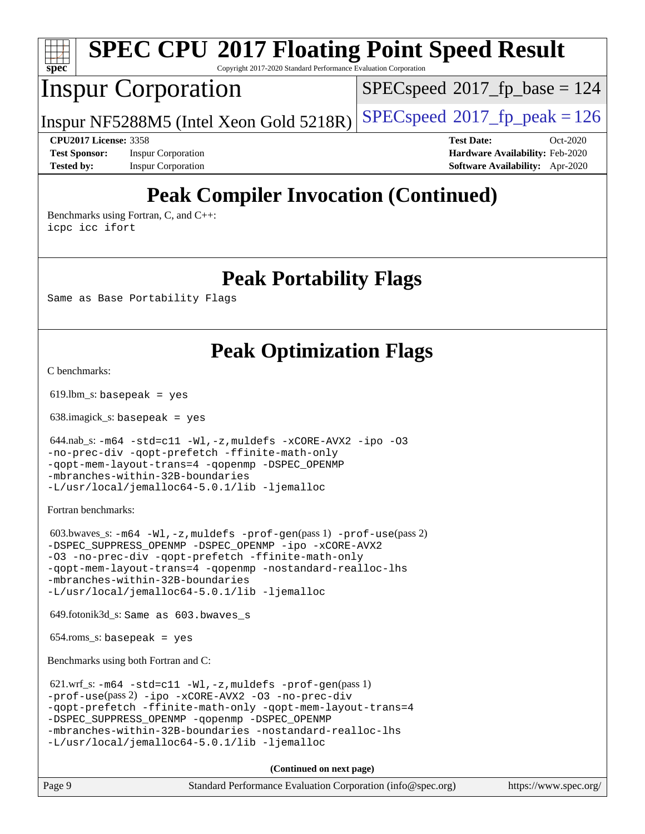

| Page 9 | Standard Performance Evaluation Corporation (info@spec.org) | https://www.spec.org/ |
|--------|-------------------------------------------------------------|-----------------------|
|        |                                                             |                       |